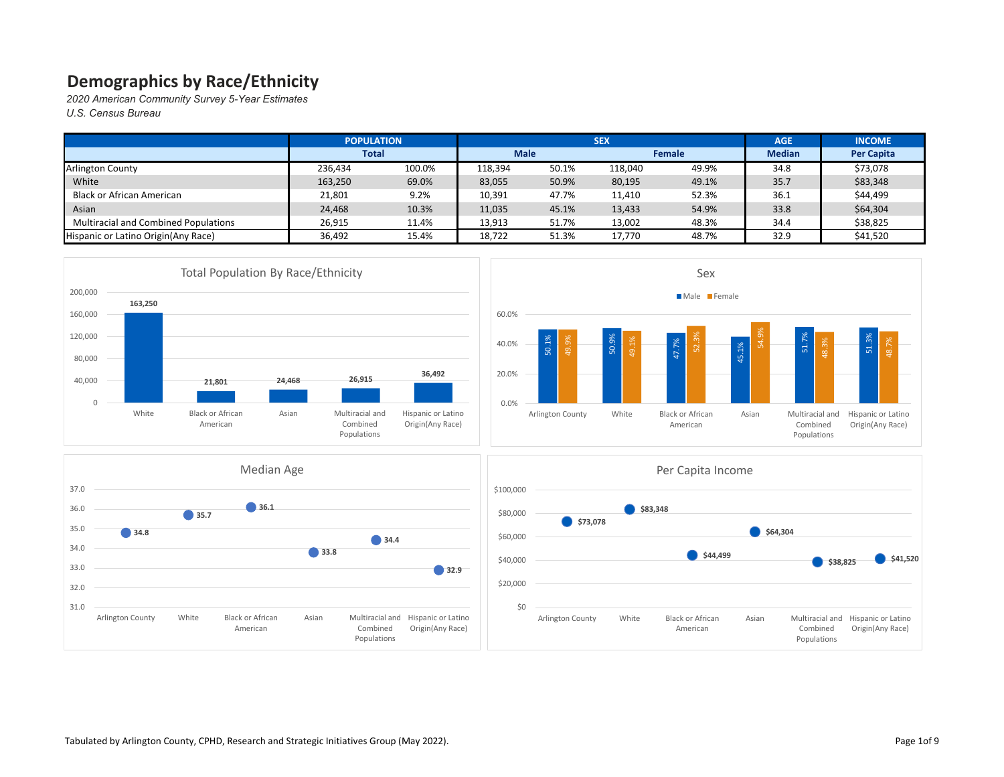|                                             | <b>POPULATION</b> |        |         |             | <b>SEX</b> |               | <b>AGE</b>    | <b>INCOME</b>     |
|---------------------------------------------|-------------------|--------|---------|-------------|------------|---------------|---------------|-------------------|
|                                             | <b>Total</b>      |        |         | <b>Male</b> |            | <b>Female</b> | <b>Median</b> | <b>Per Capita</b> |
| <b>Arlington County</b>                     | 236.434           | 100.0% | 118,394 | 50.1%       | 118,040    | 49.9%         | 34.8          | \$73,078          |
| White                                       | 163,250           | 69.0%  | 83,055  | 50.9%       | 80,195     | 49.1%         | 35.7          | \$83,348          |
| Black or African American                   | 21,801            | 9.2%   | 10,391  | 47.7%       | 11,410     | 52.3%         | 36.1          | \$44,499          |
| Asian                                       | 24,468            | 10.3%  | 11,035  | 45.1%       | 13,433     | 54.9%         | 33.8          | \$64,304          |
| <b>Multiracial and Combined Populations</b> | 26,915            | 11.4%  | 13,913  | 51.7%       | 13,002     | 48.3%         | 34.4          | \$38,825          |
| Hispanic or Latino Origin(Any Race)         | 36,492            | 15.4%  | 18,722  | 51.3%       | 17,770     | 48.7%         | 32.9          | \$41,520          |







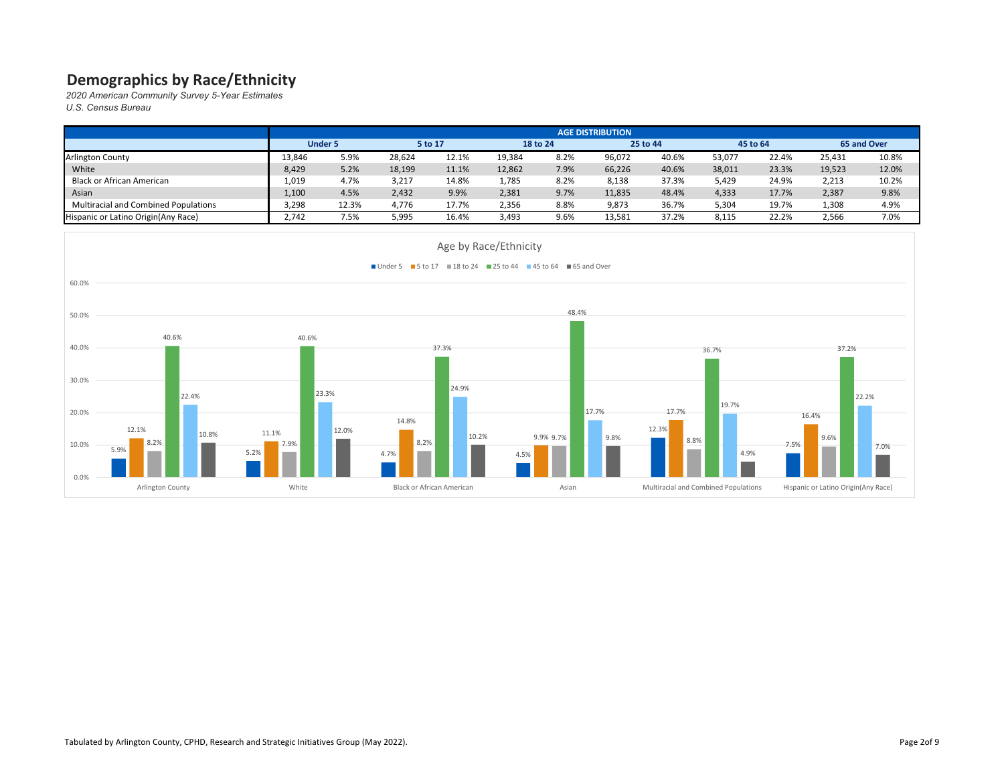|                                             | <b>AGE DISTRIBUTION</b> |                           |        |       |          |      |          |       |          |       |             |       |
|---------------------------------------------|-------------------------|---------------------------|--------|-------|----------|------|----------|-------|----------|-------|-------------|-------|
|                                             |                         | <b>Under 5</b><br>5 to 17 |        |       | 18 to 24 |      | 25 to 44 |       | 45 to 64 |       | 65 and Over |       |
| <b>Arlington County</b>                     | 13,846                  | 5.9%                      | 28,624 | 12.1% | 19,384   | 8.2% | 96,072   | 40.6% | 53,077   | 22.4% | 25,431      | 10.8% |
| White                                       | 8,429                   | 5.2%                      | 18,199 | 11.1% | 12,862   | 7.9% | 66,226   | 40.6% | 38,011   | 23.3% | 19,523      | 12.0% |
| <b>Black or African American</b>            | 1,019                   | 4.7%                      | 3,217  | 14.8% | 1,785    | 8.2% | 8,138    | 37.3% | 5,429    | 24.9% | 2,213       | 10.2% |
| Asian                                       | 1,100                   | 4.5%                      | 2,432  | 9.9%  | 2,381    | 9.7% | 11,835   | 48.4% | 4,333    | 17.7% | 2,387       | 9.8%  |
| <b>Multiracial and Combined Populations</b> | 3,298                   | 12.3%                     | 4,776  | 17.7% | 2,356    | 8.8% | 9,873    | 36.7% | 5,304    | 19.7% | 1,308       | 4.9%  |
| Hispanic or Latino Origin (Any Race)        | 2,742                   | 7.5%                      | 5,995  | 16.4% | 3,493    | 9.6% | 13,581   | 37.2% | 8,115    | 22.2% | 2,566       | 7.0%  |

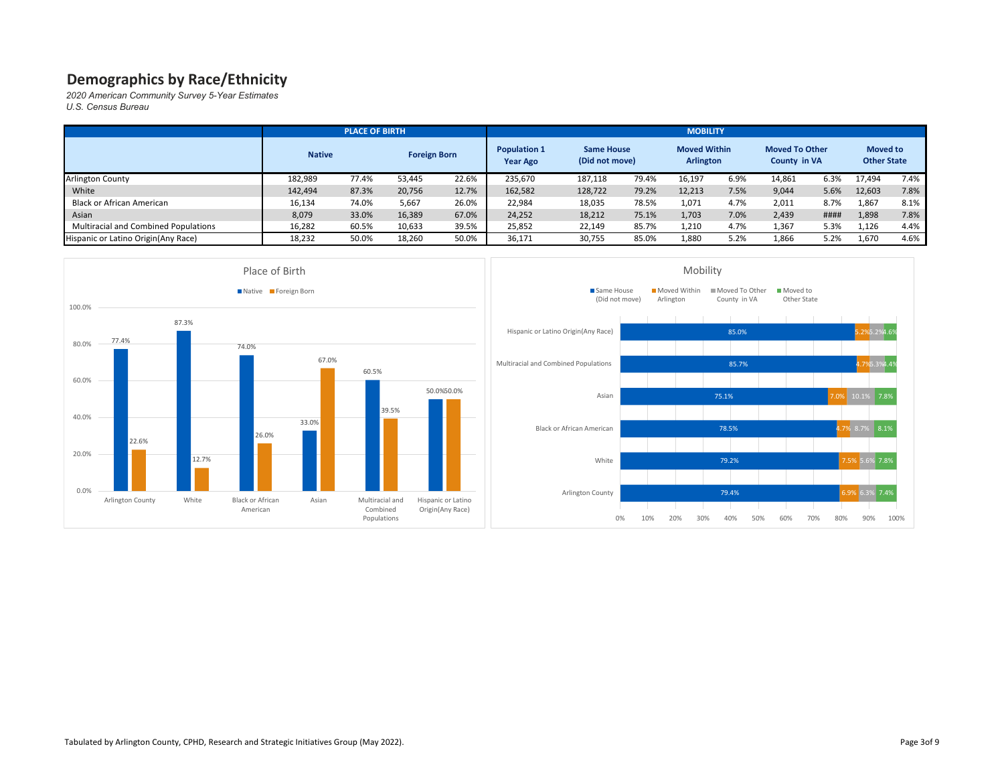*2020 American Community Survey 5-Year Estimates*

*U.S. Census Bureau*

|                                             |               | <b>PLACE OF BIRTH</b> |                     |       | <b>MOBILITY</b>                        |                                     |       |                                         |      |                                              |      |                                       |      |  |
|---------------------------------------------|---------------|-----------------------|---------------------|-------|----------------------------------------|-------------------------------------|-------|-----------------------------------------|------|----------------------------------------------|------|---------------------------------------|------|--|
|                                             | <b>Native</b> |                       | <b>Foreign Born</b> |       | <b>Population 1</b><br><b>Year Ago</b> | <b>Same House</b><br>(Did not move) |       | <b>Moved Within</b><br><b>Arlington</b> |      | <b>Moved To Other</b><br><b>County in VA</b> |      | <b>Moved to</b><br><b>Other State</b> |      |  |
| <b>Arlington County</b>                     | 182,989       | 77.4%                 | 53.445              | 22.6% | 235,670                                | 187,118                             | 79.4% | 16,197                                  | 6.9% | 14,861                                       | 6.3% | 17,494                                | 7.4% |  |
| White                                       | 142,494       | 87.3%                 | 20,756              | 12.7% | 162,582                                | 128,722                             | 79.2% | 12,213                                  | 7.5% | 9,044                                        | 5.6% | 12,603                                | 7.8% |  |
| <b>Black or African American</b>            | 16,134        | 74.0%                 | 5,667               | 26.0% | 22,984                                 | 18,035                              | 78.5% | 1,071                                   | 4.7% | 2,011                                        | 8.7% | 1,867                                 | 8.1% |  |
| Asian                                       | 8,079         | 33.0%                 | 16,389              | 67.0% | 24,252                                 | 18,212                              | 75.1% | 1,703                                   | 7.0% | 2,439                                        | #### | 1,898                                 | 7.8% |  |
| <b>Multiracial and Combined Populations</b> | 16,282        | 60.5%                 | 10,633              | 39.5% | 25,852                                 | 22,149                              | 85.7% | 1,210                                   | 4.7% | 1,367                                        | 5.3% | 1,126                                 | 4.4% |  |
| Hispanic or Latino Origin (Any Race)        | 18,232        | 50.0%                 | 18,260              | 50.0% | 36,171                                 | 30,755                              | 85.0% | 1,880                                   | 5.2% | 1,866                                        | 5.2% | 1,670                                 | 4.6% |  |



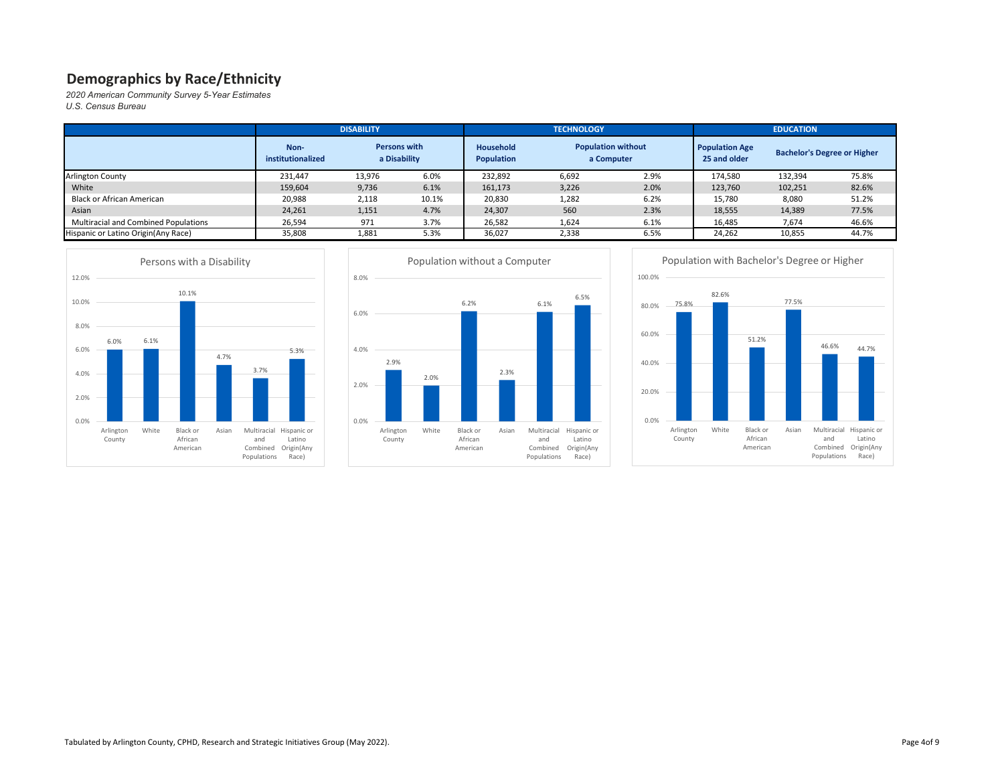*2020 American Community Survey 5-Year Estimates U.S. Census Bureau*

|                                             |                           | <b>DISABILITY</b>                   |       |                                | <b>TECHNOLOGY</b>                       |      |                                       | <b>EDUCATION</b> |                                    |  |  |
|---------------------------------------------|---------------------------|-------------------------------------|-------|--------------------------------|-----------------------------------------|------|---------------------------------------|------------------|------------------------------------|--|--|
|                                             | Non-<br>institutionalized | <b>Persons with</b><br>a Disability |       | Household<br><b>Population</b> | <b>Population without</b><br>a Computer |      | <b>Population Age</b><br>25 and older |                  | <b>Bachelor's Degree or Higher</b> |  |  |
| <b>Arlington County</b>                     | 231,447                   | 13,976                              | 6.0%  | 232,892                        | 6,692                                   | 2.9% | 174,580                               | 132,394          | 75.8%                              |  |  |
| White                                       | 159,604                   | 9,736                               | 6.1%  | 161,173                        | 3,226                                   | 2.0% | 123,760                               | 102,251          | 82.6%                              |  |  |
| <b>Black or African American</b>            | 20,988                    | 2,118                               | 10.1% | 20,830                         | 1,282                                   | 6.2% | 15,780                                | 8,080            | 51.2%                              |  |  |
| Asian                                       | 24,261                    | 1,151                               | 4.7%  | 24,307                         | 560                                     | 2.3% | 18,555                                | 14,389           | 77.5%                              |  |  |
| <b>Multiracial and Combined Populations</b> | 26,594                    | 971                                 | 3.7%  | 26,582                         | 1,624                                   | 6.1% | 16,485                                | 7,674            | 46.6%                              |  |  |
| Hispanic or Latino Origin(Any Race)         | 35,808                    | 1,881                               | 5.3%  | 36,027                         | 2,338                                   | 6.5% | 24,262                                | 10,855           | 44.7%                              |  |  |





75.8%

0.0%

Arlington County



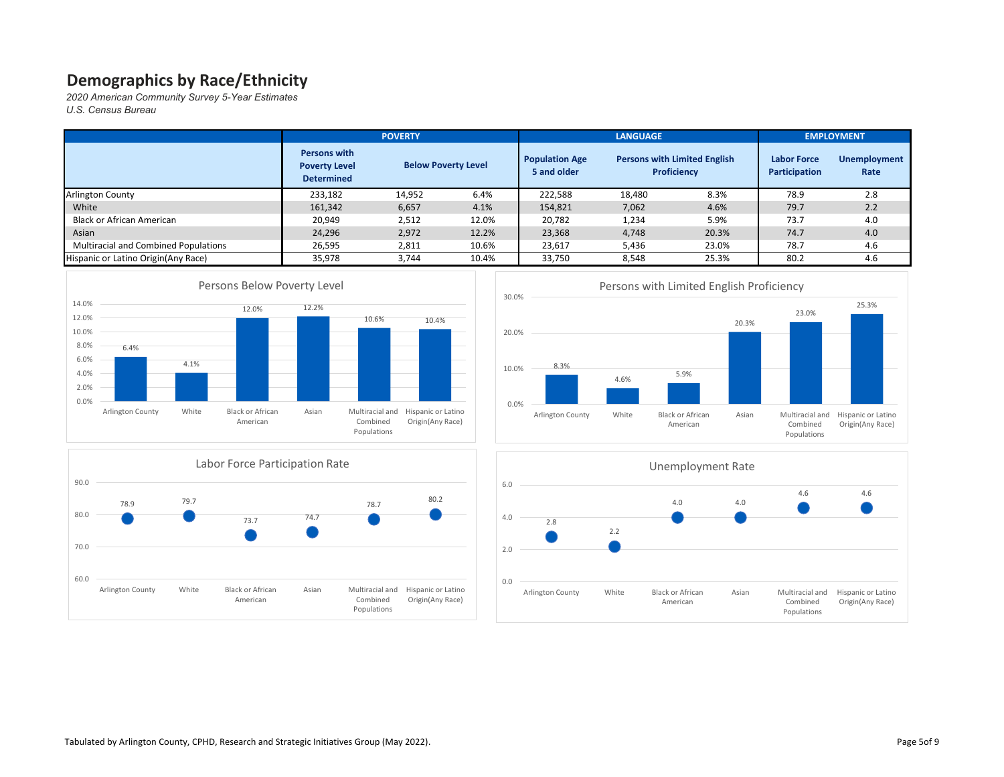|                                      |                                                                  | <b>POVERTY</b>             |       |                                      | <b>LANGUAGE</b>                                           |       | <b>EMPLOYMENT</b>                   |                             |  |
|--------------------------------------|------------------------------------------------------------------|----------------------------|-------|--------------------------------------|-----------------------------------------------------------|-------|-------------------------------------|-----------------------------|--|
|                                      | <b>Persons with</b><br><b>Poverty Level</b><br><b>Determined</b> | <b>Below Poverty Level</b> |       | <b>Population Age</b><br>5 and older | <b>Persons with Limited English</b><br><b>Proficiency</b> |       | <b>Labor Force</b><br>Participation | <b>Unemployment</b><br>Rate |  |
| <b>Arlington County</b>              | 233,182                                                          | 14,952                     | 6.4%  | 222,588                              | 18,480                                                    | 8.3%  | 78.9                                | 2.8                         |  |
| White                                | 161,342                                                          | 6,657                      | 4.1%  | 154,821                              | 7,062                                                     | 4.6%  | 79.7                                | 2.2                         |  |
| Black or African American            | 20,949                                                           | 2,512                      | 12.0% | 20,782                               | 1,234                                                     | 5.9%  | 73.7                                | 4.0                         |  |
| Asian                                | 24,296                                                           | 2,972                      | 12.2% | 23,368                               | 4,748                                                     | 20.3% | 74.7                                | 4.0                         |  |
| Multiracial and Combined Populations | 26,595                                                           | 2,811                      | 10.6% | 23,617                               | 5,436                                                     | 23.0% | 78.7                                | 4.6                         |  |
| Hispanic or Latino Origin (Any Race) | 35,978                                                           | 3,744                      | 10.4% | 33,750                               | 8,548                                                     | 25.3% | 80.2                                | 4.6                         |  |







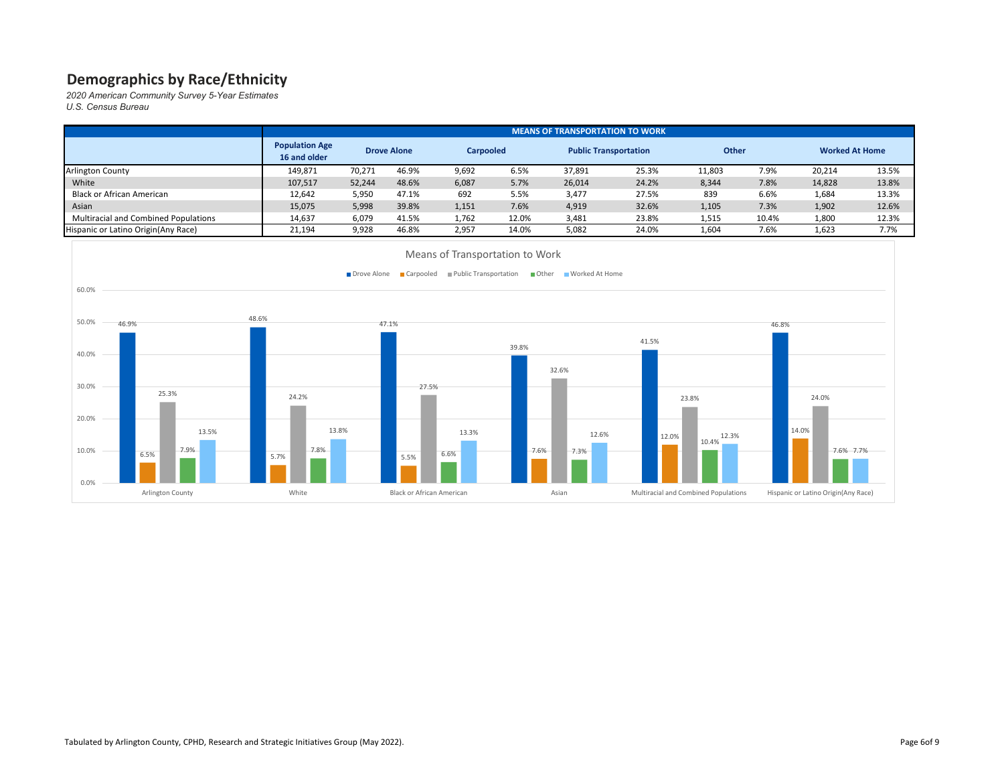*2020 American Community Survey 5-Year Estimates*

*U.S. Census Bureau*

|                                             | <b>MEANS OF TRANSPORTATION TO WORK</b> |        |                    |       |                  |        |                              |        |              |                       |       |
|---------------------------------------------|----------------------------------------|--------|--------------------|-------|------------------|--------|------------------------------|--------|--------------|-----------------------|-------|
|                                             | <b>Population Age</b><br>16 and older  |        | <b>Drove Alone</b> |       | <b>Carpooled</b> |        | <b>Public Transportation</b> |        | <b>Other</b> | <b>Worked At Home</b> |       |
| <b>Arlington County</b>                     | 149,871                                | 70,271 | 46.9%              | 9,692 | 6.5%             | 37,891 | 25.3%                        | 11,803 | 7.9%         | 20,214                | 13.5% |
| White                                       | 107,517                                | 52,244 | 48.6%              | 6,087 | 5.7%             | 26,014 | 24.2%                        | 8,344  | 7.8%         | 14,828                | 13.8% |
| <b>Black or African American</b>            | 12,642                                 | 5,950  | 47.1%              | 692   | 5.5%             | 3,477  | 27.5%                        | 839    | 6.6%         | 1,684                 | 13.3% |
| Asian                                       | 15,075                                 | 5,998  | 39.8%              | 1,151 | 7.6%             | 4,919  | 32.6%                        | 1,105  | 7.3%         | 1,902                 | 12.6% |
| <b>Multiracial and Combined Populations</b> | 14,637                                 | 6,079  | 41.5%              | 1,762 | 12.0%            | 3,481  | 23.8%                        | 1,515  | 10.4%        | 1,800                 | 12.3% |
| Hispanic or Latino Origin (Any Race)        | 21,194                                 | 9,928  | 46.8%              | 2,957 | 14.0%            | 5,082  | 24.0%                        | 1,604  | 7.6%         | 1,623                 | 7.7%  |

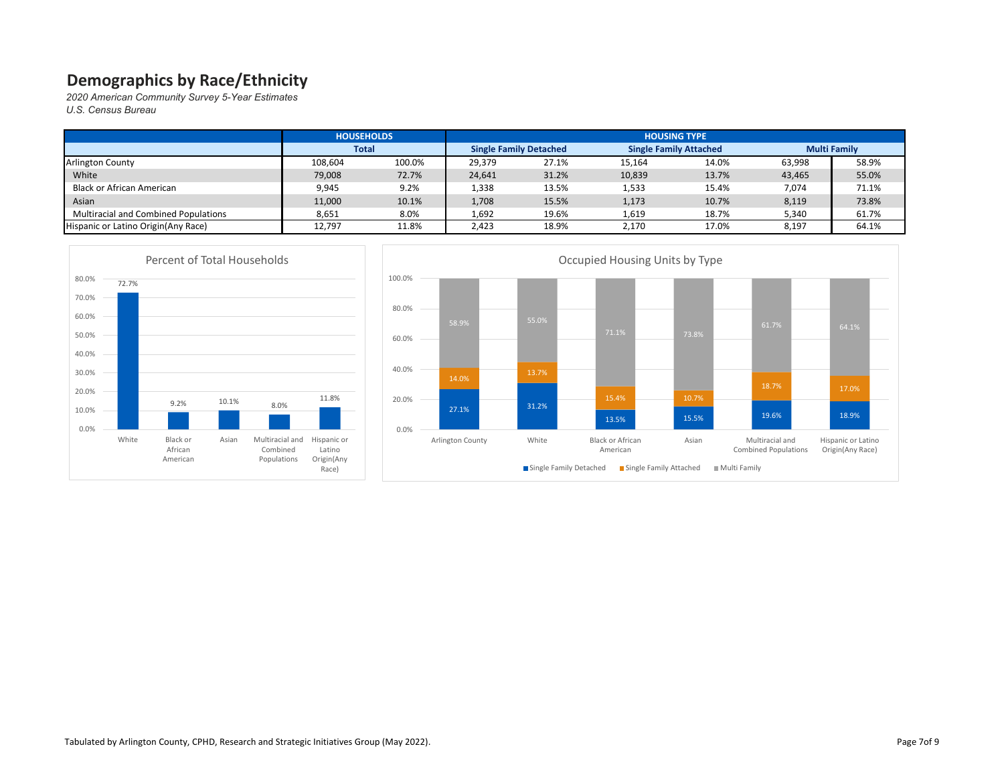|                                             | <b>HOUSEHOLDS</b> |        | <b>HOUSING TYPE</b>           |       |                               |       |                     |       |  |  |  |
|---------------------------------------------|-------------------|--------|-------------------------------|-------|-------------------------------|-------|---------------------|-------|--|--|--|
|                                             | <b>Total</b>      |        | <b>Single Family Detached</b> |       | <b>Single Family Attached</b> |       | <b>Multi Family</b> |       |  |  |  |
| <b>Arlington County</b>                     | 108,604           | 100.0% | 29,379                        | 27.1% | 15,164                        | 14.0% | 63,998              | 58.9% |  |  |  |
| White                                       | 79,008            | 72.7%  | 24,641                        | 31.2% | 10,839                        | 13.7% | 43,465              | 55.0% |  |  |  |
| Black or African American                   | 9,945             | 9.2%   | 1,338                         | 13.5% | 1,533                         | 15.4% | 7,074               | 71.1% |  |  |  |
| Asian                                       | 11,000            | 10.1%  | 1,708                         | 15.5% | 1,173                         | 10.7% | 8,119               | 73.8% |  |  |  |
| <b>Multiracial and Combined Populations</b> | 8,651             | 8.0%   | 1,692                         | 19.6% | 1,619                         | 18.7% | 5,340               | 61.7% |  |  |  |
| Hispanic or Latino Origin (Any Race)        | 12,797            | 11.8%  | 2,423                         | 18.9% | 2,170                         | 17.0% | 8,197               | 64.1% |  |  |  |



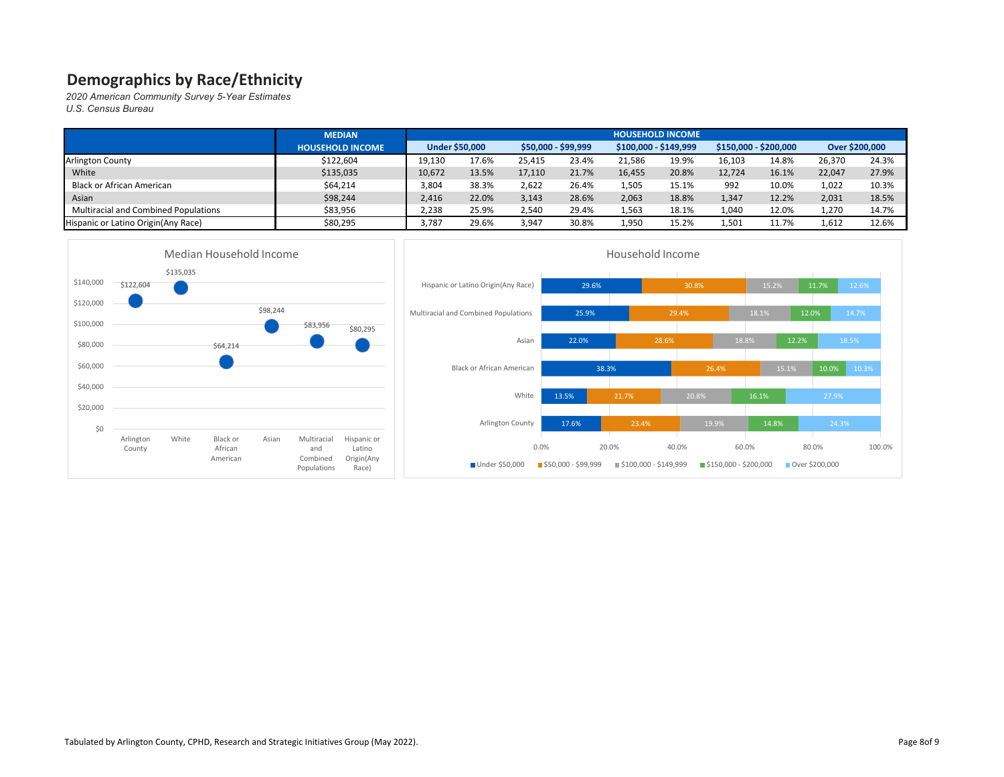|                                             | <b>MEDIAN</b>           |                       |       |                     |       |                       |       |                       |       |        |                |
|---------------------------------------------|-------------------------|-----------------------|-------|---------------------|-------|-----------------------|-------|-----------------------|-------|--------|----------------|
|                                             | <b>HOUSEHOLD INCOME</b> | <b>Under \$50,000</b> |       | \$50,000 - \$99,999 |       | $$100,000 - $149,999$ |       | $$150,000 - $200,000$ |       |        | Over \$200,000 |
| <b>Arlington County</b>                     | \$122,604               | 19,130                | 17.6% | 25.415              | 23.4% | 21,586                | 19.9% | 16.103                | 14.8% | 26,370 | 24.3%          |
| White                                       | \$135,035               | 10,672                | 13.5% | 17,110              | 21.7% | 16,455                | 20.8% | 12,724                | 16.1% | 22,047 | 27.9%          |
| Black or African American                   | \$64,214                | 3,804                 | 38.3% | 2,622               | 26.4% | 1,505                 | 15.1% | 992                   | 10.0% | 1,022  | 10.3%          |
| Asian                                       | \$98,244                | 2,416                 | 22.0% | 3,143               | 28.6% | 2,063                 | 18.8% | 1,347                 | 12.2% | 2,031  | 18.5%          |
| <b>Multiracial and Combined Populations</b> | \$83,956                | 2,238                 | 25.9% | 2,540               | 29.4% | 1,563                 | 18.1% | 1,040                 | 12.0% | 1,270  | 14.7%          |
| Hispanic or Latino Origin(Any Race)         | \$80,295                | 3,787                 | 29.6% | 3,947               | 30.8% | 1,950                 | 15.2% | 1,501                 | 11.7% | 1,612  | 12.6%          |